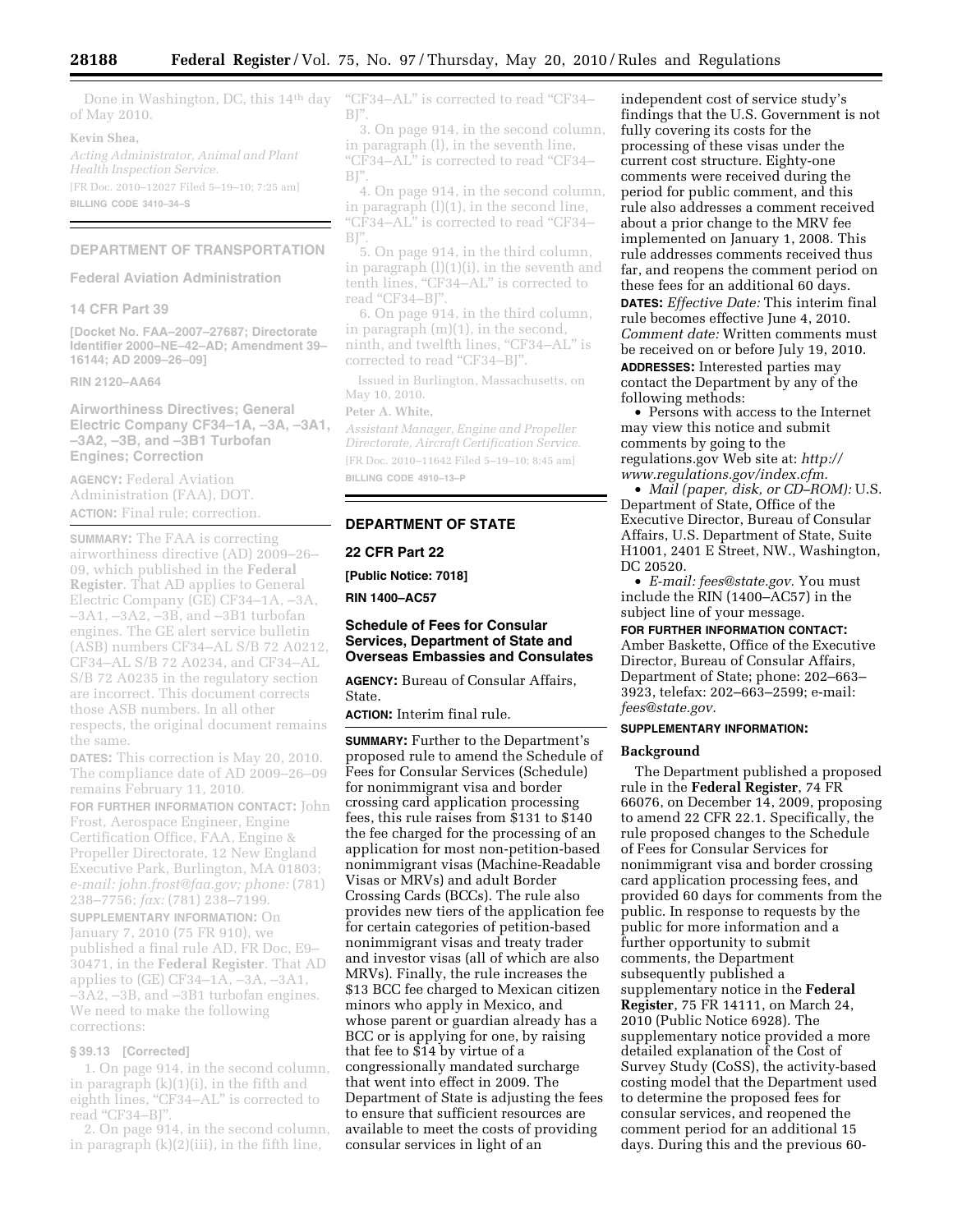Done in Washington, DC, this 14<sup>th</sup> day of May 2010.

#### **Kevin Shea,**

*Acting Administrator, Animal and Plant Health Inspection Service.*  [FR Doc. 2010–12027 Filed 5–19–10; 7:25 am] **BILLING CODE 3410–34–S** 

#### **DEPARTMENT OF TRANSPORTATION**

**Federal Aviation Administration** 

#### **14 CFR Part 39**

**[Docket No. FAA–2007–27687; Directorate Identifier 2000–NE–42–AD; Amendment 39– 16144; AD 2009–26–09]** 

## **RIN 2120–AA64**

**Airworthiness Directives; General Electric Company CF34–1A, –3A, –3A1, –3A2, –3B, and –3B1 Turbofan Engines; Correction** 

**AGENCY:** Federal Aviation Administration (FAA), DOT. **ACTION:** Final rule; correction.

**SUMMARY:** The FAA is correcting airworthiness directive (AD) 2009–26– 09, which published in the **Federal Register**. That AD applies to General Electric Company (GE) CF34–1A, –3A, –3A1, –3A2, –3B, and –3B1 turbofan engines. The GE alert service bulletin (ASB) numbers CF34–AL S/B 72 A0212, CF34–AL S/B 72 A0234, and CF34–AL S/B 72 A0235 in the regulatory section are incorrect. This document corrects those ASB numbers. In all other respects, the original document remains the same.

**DATES:** This correction is May 20, 2010. The compliance date of AD 2009–26–09 remains February 11, 2010.

**FOR FURTHER INFORMATION CONTACT:** John Frost, Aerospace Engineer, Engine Certification Office, FAA, Engine & Propeller Directorate, 12 New England Executive Park, Burlington, MA 01803; *e-mail: [john.frost@faa.gov; p](mailto:john.frost@faa.gov)hone:* (781) 238–7756; *fax:* (781) 238–7199. **SUPPLEMENTARY INFORMATION:** On January 7, 2010 (75 FR 910), we published a final rule AD, FR Doc, E9– 30471, in the **Federal Register**. That AD applies to (GE) CF34–1A, –3A, –3A1, –3A2, –3B, and –3B1 turbofan engines. We need to make the following corrections:

#### **§ 39.13 [Corrected]**

1. On page 914, in the second column, in paragraph (k)(1)(i), in the fifth and eighth lines, "CF34–AL" is corrected to read "CF34-BJ"

2. On page 914, in the second column, in paragraph (k)(2)(iii), in the fifth line,

''CF34–AL'' is corrected to read ''CF34–  $\mathbb{B} \Gamma$ 

3. On page 914, in the second column, in paragraph (l), in the seventh line, "CF34–AL" is corrected to read "CF34–  $BI"$ .

4. On page 914, in the second column, in paragraph (l)(1), in the second line, "CF34–AL" is corrected to read "CF34–  $BI"$ 

5. On page 914, in the third column, in paragraph  $(l)(1)(i)$ , in the seventh and tenth lines, ''CF34–AL'' is corrected to read "CF34-BJ".

6. On page 914, in the third column, in paragraph (m)(1), in the second, ninth, and twelfth lines, "CF34–AL" is corrected to read ''CF34–BJ''.

Issued in Burlington, Massachusetts, on May 10, 2010.

### **Peter A. White,**

*Assistant Manager, Engine and Propeller Directorate, Aircraft Certification Service.*  [FR Doc. 2010–11642 Filed 5–19–10; 8:45 am] **BILLING CODE 4910–13–P** 

#### **DEPARTMENT OF STATE**

#### **22 CFR Part 22**

**[Public Notice: 7018]** 

**RIN 1400–AC57** 

## **Schedule of Fees for Consular Services, Department of State and Overseas Embassies and Consulates**

**AGENCY:** Bureau of Consular Affairs, State.

**ACTION:** Interim final rule.

**SUMMARY:** Further to the Department's proposed rule to amend the Schedule of Fees for Consular Services (Schedule) for nonimmigrant visa and border crossing card application processing fees, this rule raises from \$131 to \$140 the fee charged for the processing of an application for most non-petition-based nonimmigrant visas (Machine-Readable Visas or MRVs) and adult Border Crossing Cards (BCCs). The rule also provides new tiers of the application fee for certain categories of petition-based nonimmigrant visas and treaty trader and investor visas (all of which are also MRVs). Finally, the rule increases the \$13 BCC fee charged to Mexican citizen minors who apply in Mexico, and whose parent or guardian already has a BCC or is applying for one, by raising that fee to \$14 by virtue of a congressionally mandated surcharge that went into effect in 2009. The Department of State is adjusting the fees to ensure that sufficient resources are available to meet the costs of providing consular services in light of an

independent cost of service study's findings that the U.S. Government is not fully covering its costs for the processing of these visas under the current cost structure. Eighty-one comments were received during the period for public comment, and this rule also addresses a comment received about a prior change to the MRV fee implemented on January 1, 2008. This rule addresses comments received thus far, and reopens the comment period on these fees for an additional 60 days. **DATES:** *Effective Date:* This interim final rule becomes effective June 4, 2010. *Comment date:* Written comments must be received on or before July 19, 2010. **ADDRESSES:** Interested parties may contact the Department by any of the following methods:

• Persons with access to the Internet may view this notice and submit comments by going to the regulations.gov Web site at: *http:// [www.regulations.gov/index.cfm.](http://www.regulations.gov/index.cfm)* 

• *Mail (paper, disk, or CD–ROM):* U.S. Department of State, Office of the Executive Director, Bureau of Consular Affairs, U.S. Department of State, Suite H1001, 2401 E Street, NW., Washington, DC 20520.

• *E-mail: [fees@state.gov.](mailto:fees@state.gov)* You must include the RIN (1400–AC57) in the subject line of your message.

**FOR FURTHER INFORMATION CONTACT:**  Amber Baskette, Office of the Executive Director, Bureau of Consular Affairs, Department of State; phone: 202–663– 3923, telefax: 202–663–2599; e-mail: *[fees@state.gov.](mailto:fees@state.gov)* 

## **SUPPLEMENTARY INFORMATION:**

## **Background**

The Department published a proposed rule in the **Federal Register**, 74 FR 66076, on December 14, 2009, proposing to amend 22 CFR 22.1. Specifically, the rule proposed changes to the Schedule of Fees for Consular Services for nonimmigrant visa and border crossing card application processing fees, and provided 60 days for comments from the public. In response to requests by the public for more information and a further opportunity to submit comments, the Department subsequently published a supplementary notice in the **Federal Register**, 75 FR 14111, on March 24, 2010 (Public Notice 6928). The supplementary notice provided a more detailed explanation of the Cost of Survey Study (CoSS), the activity-based costing model that the Department used to determine the proposed fees for consular services, and reopened the comment period for an additional 15 days. During this and the previous 60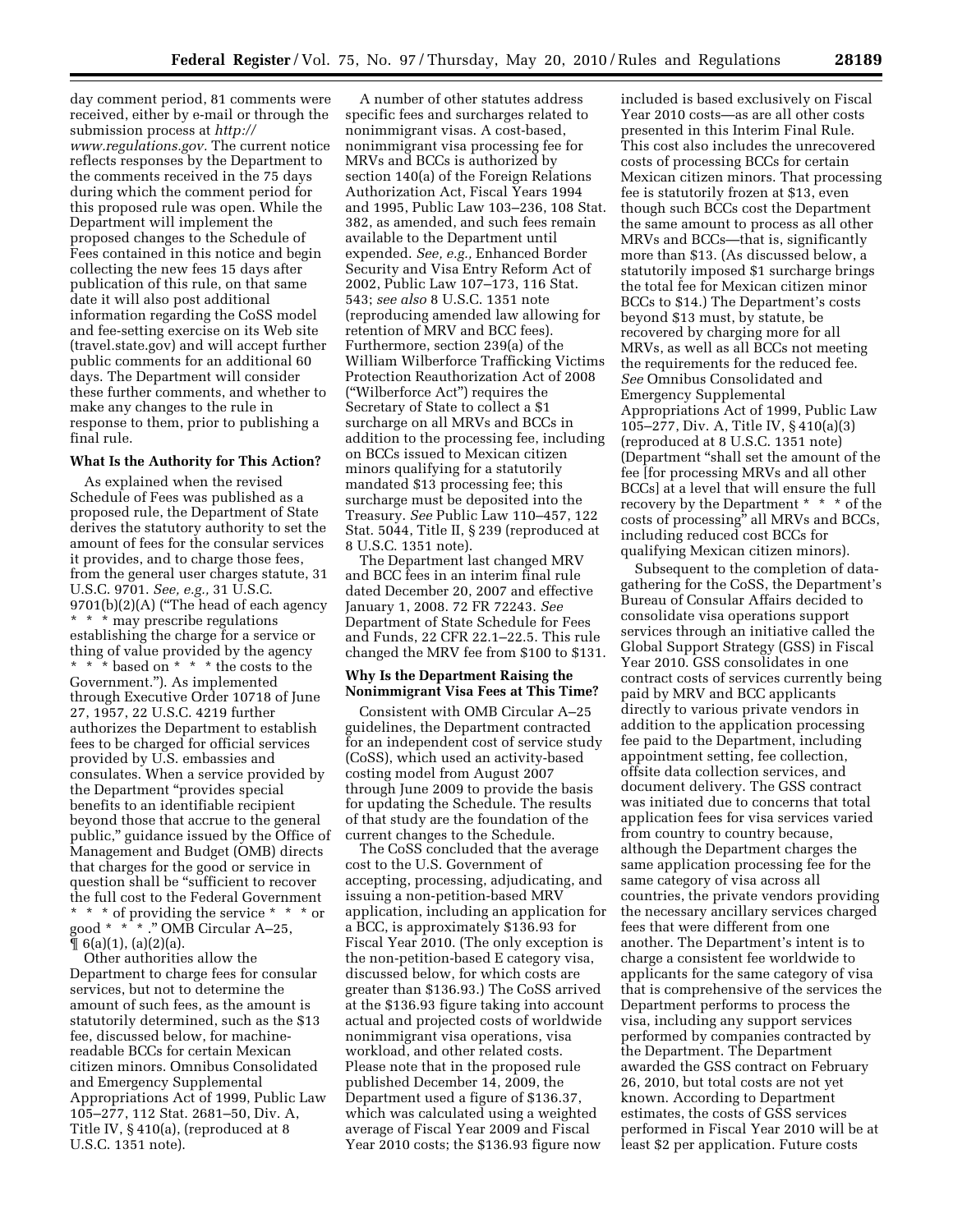day comment period, 81 comments were received, either by e-mail or through the [submission process at](http://www.regulations.gov) *http:// www.regulations.gov.* The current notice reflects responses by the Department to the comments received in the 75 days during which the comment period for this proposed rule was open. While the Department will implement the proposed changes to the Schedule of Fees contained in this notice and begin collecting the new fees 15 days after publication of this rule, on that same date it will also post additional information regarding the CoSS model and fee-setting exercise on its Web site (travel.state.gov) and will accept further public comments for an additional 60 days. The Department will consider these further comments, and whether to make any changes to the rule in response to them, prior to publishing a final rule.

#### **What Is the Authority for This Action?**

As explained when the revised Schedule of Fees was published as a proposed rule, the Department of State derives the statutory authority to set the amount of fees for the consular services it provides, and to charge those fees, from the general user charges statute, 31 U.S.C. 9701. *See, e.g.,* 31 U.S.C. 9701(b)(2)(A) (''The head of each agency \* \* \* may prescribe regulations establishing the charge for a service or thing of value provided by the agency \* \* \* based on \* \* \* the costs to the Government.''). As implemented through Executive Order 10718 of June 27, 1957, 22 U.S.C. 4219 further authorizes the Department to establish fees to be charged for official services provided by U.S. embassies and consulates. When a service provided by the Department ''provides special benefits to an identifiable recipient beyond those that accrue to the general public,'' guidance issued by the Office of Management and Budget (OMB) directs that charges for the good or service in question shall be ''sufficient to recover the full cost to the Federal Government \* \* \* of providing the service \* \* \* or good \* \* \* .'' OMB Circular A–25,  $\P$  6(a)(1), (a)(2)(a).

Other authorities allow the Department to charge fees for consular services, but not to determine the amount of such fees, as the amount is statutorily determined, such as the \$13 fee, discussed below, for machinereadable BCCs for certain Mexican citizen minors. Omnibus Consolidated and Emergency Supplemental Appropriations Act of 1999, Public Law 105–277, 112 Stat. 2681–50, Div. A, Title IV, § 410(a), (reproduced at 8 U.S.C. 1351 note).

A number of other statutes address specific fees and surcharges related to nonimmigrant visas. A cost-based, nonimmigrant visa processing fee for MRVs and BCCs is authorized by section 140(a) of the Foreign Relations Authorization Act, Fiscal Years 1994 and 1995, Public Law 103–236, 108 Stat. 382, as amended, and such fees remain available to the Department until expended. *See, e.g.,* Enhanced Border Security and Visa Entry Reform Act of 2002, Public Law 107–173, 116 Stat. 543; *see also* 8 U.S.C. 1351 note (reproducing amended law allowing for retention of MRV and BCC fees). Furthermore, section 239(a) of the William Wilberforce Trafficking Victims Protection Reauthorization Act of 2008 (''Wilberforce Act'') requires the Secretary of State to collect a \$1 surcharge on all MRVs and BCCs in addition to the processing fee, including on BCCs issued to Mexican citizen minors qualifying for a statutorily mandated \$13 processing fee; this surcharge must be deposited into the Treasury. *See* Public Law 110–457, 122 Stat. 5044, Title II, § 239 (reproduced at 8 U.S.C. 1351 note).

The Department last changed MRV and BCC fees in an interim final rule dated December 20, 2007 and effective January 1, 2008. 72 FR 72243. *See*  Department of State Schedule for Fees and Funds, 22 CFR 22.1–22.5. This rule changed the MRV fee from \$100 to \$131.

## **Why Is the Department Raising the Nonimmigrant Visa Fees at This Time?**

Consistent with OMB Circular A–25 guidelines, the Department contracted for an independent cost of service study (CoSS), which used an activity-based costing model from August 2007 through June 2009 to provide the basis for updating the Schedule. The results of that study are the foundation of the current changes to the Schedule.

The CoSS concluded that the average cost to the U.S. Government of accepting, processing, adjudicating, and issuing a non-petition-based MRV application, including an application for a BCC, is approximately \$136.93 for Fiscal Year 2010. (The only exception is the non-petition-based E category visa, discussed below, for which costs are greater than \$136.93.) The CoSS arrived at the \$136.93 figure taking into account actual and projected costs of worldwide nonimmigrant visa operations, visa workload, and other related costs. Please note that in the proposed rule published December 14, 2009, the Department used a figure of \$136.37, which was calculated using a weighted average of Fiscal Year 2009 and Fiscal Year 2010 costs; the \$136.93 figure now

included is based exclusively on Fiscal Year 2010 costs—as are all other costs presented in this Interim Final Rule. This cost also includes the unrecovered costs of processing BCCs for certain Mexican citizen minors. That processing fee is statutorily frozen at \$13, even though such BCCs cost the Department the same amount to process as all other MRVs and BCCs—that is, significantly more than \$13. (As discussed below, a statutorily imposed \$1 surcharge brings the total fee for Mexican citizen minor BCCs to \$14.) The Department's costs beyond \$13 must, by statute, be recovered by charging more for all MRVs, as well as all BCCs not meeting the requirements for the reduced fee. *See* Omnibus Consolidated and Emergency Supplemental Appropriations Act of 1999, Public Law 105–277, Div. A, Title IV, § 410(a)(3) (reproduced at 8 U.S.C. 1351 note) (Department ''shall set the amount of the fee [for processing MRVs and all other BCCs] at a level that will ensure the full recovery by the Department \* \* \* of the costs of processing'' all MRVs and BCCs, including reduced cost BCCs for qualifying Mexican citizen minors).

Subsequent to the completion of datagathering for the CoSS, the Department's Bureau of Consular Affairs decided to consolidate visa operations support services through an initiative called the Global Support Strategy (GSS) in Fiscal Year 2010. GSS consolidates in one contract costs of services currently being paid by MRV and BCC applicants directly to various private vendors in addition to the application processing fee paid to the Department, including appointment setting, fee collection, offsite data collection services, and document delivery. The GSS contract was initiated due to concerns that total application fees for visa services varied from country to country because, although the Department charges the same application processing fee for the same category of visa across all countries, the private vendors providing the necessary ancillary services charged fees that were different from one another. The Department's intent is to charge a consistent fee worldwide to applicants for the same category of visa that is comprehensive of the services the Department performs to process the visa, including any support services performed by companies contracted by the Department. The Department awarded the GSS contract on February 26, 2010, but total costs are not yet known. According to Department estimates, the costs of GSS services performed in Fiscal Year 2010 will be at least \$2 per application. Future costs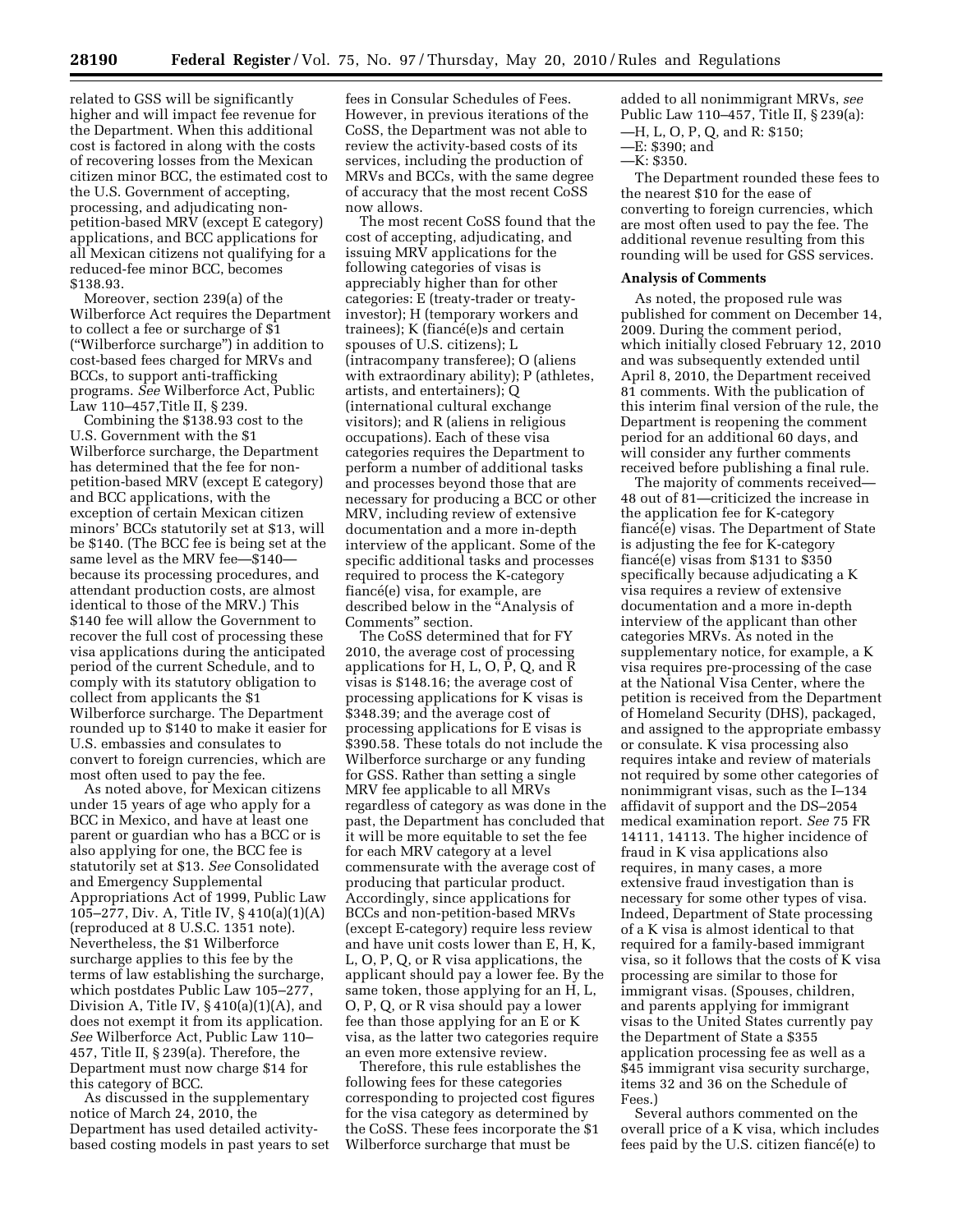related to GSS will be significantly higher and will impact fee revenue for the Department. When this additional cost is factored in along with the costs of recovering losses from the Mexican citizen minor BCC, the estimated cost to the U.S. Government of accepting, processing, and adjudicating nonpetition-based MRV (except E category) applications, and BCC applications for all Mexican citizens not qualifying for a reduced-fee minor BCC, becomes \$138.93.

Moreover, section 239(a) of the Wilberforce Act requires the Department to collect a fee or surcharge of \$1 (''Wilberforce surcharge'') in addition to cost-based fees charged for MRVs and BCCs, to support anti-trafficking programs. *See* Wilberforce Act, Public Law 110–457,Title II, § 239.

Combining the \$138.93 cost to the U.S. Government with the \$1 Wilberforce surcharge, the Department has determined that the fee for nonpetition-based MRV (except E category) and BCC applications, with the exception of certain Mexican citizen minors' BCCs statutorily set at \$13, will be \$140. (The BCC fee is being set at the same level as the MRV fee-\$140because its processing procedures, and attendant production costs, are almost identical to those of the MRV.) This \$140 fee will allow the Government to recover the full cost of processing these visa applications during the anticipated period of the current Schedule, and to comply with its statutory obligation to collect from applicants the \$1 Wilberforce surcharge. The Department rounded up to \$140 to make it easier for U.S. embassies and consulates to convert to foreign currencies, which are most often used to pay the fee.

As noted above, for Mexican citizens under 15 years of age who apply for a BCC in Mexico, and have at least one parent or guardian who has a BCC or is also applying for one, the BCC fee is statutorily set at \$13. *See* Consolidated and Emergency Supplemental Appropriations Act of 1999, Public Law 105–277, Div. A, Title IV, § 410(a)(1)(A) (reproduced at 8 U.S.C. 1351 note). Nevertheless, the \$1 Wilberforce surcharge applies to this fee by the terms of law establishing the surcharge, which postdates Public Law 105–277, Division A, Title IV, § 410(a)(1)(A), and does not exempt it from its application. *See* Wilberforce Act, Public Law 110– 457, Title II, § 239(a). Therefore, the Department must now charge \$14 for this category of BCC.

As discussed in the supplementary notice of March 24, 2010, the Department has used detailed activitybased costing models in past years to set

fees in Consular Schedules of Fees. However, in previous iterations of the CoSS, the Department was not able to review the activity-based costs of its services, including the production of MRVs and BCCs, with the same degree of accuracy that the most recent CoSS now allows.

The most recent CoSS found that the cost of accepting, adjudicating, and issuing MRV applications for the following categories of visas is appreciably higher than for other categories: E (treaty-trader or treatyinvestor); H (temporary workers and  $triangle); K (flancé(e)s and certain$ spouses of U.S. citizens); L (intracompany transferee); O (aliens with extraordinary ability); P (athletes, artists, and entertainers); Q (international cultural exchange visitors); and R (aliens in religious occupations). Each of these visa categories requires the Department to perform a number of additional tasks and processes beyond those that are necessary for producing a BCC or other MRV, including review of extensive documentation and a more in-depth interview of the applicant. Some of the specific additional tasks and processes required to process the K-category fiancé(e) visa, for example, are described below in the ''Analysis of Comments'' section.

The CoSS determined that for FY 2010, the average cost of processing applications for H, L, O, P, Q, and R visas is \$148.16; the average cost of processing applications for K visas is \$348.39; and the average cost of processing applications for E visas is \$390.58. These totals do not include the Wilberforce surcharge or any funding for GSS. Rather than setting a single MRV fee applicable to all MRVs regardless of category as was done in the past, the Department has concluded that it will be more equitable to set the fee for each MRV category at a level commensurate with the average cost of producing that particular product. Accordingly, since applications for BCCs and non-petition-based MRVs (except E-category) require less review and have unit costs lower than E, H, K, L, O, P, Q, or R visa applications, the applicant should pay a lower fee. By the same token, those applying for an H, L, O, P, Q, or R visa should pay a lower fee than those applying for an E or K visa, as the latter two categories require an even more extensive review.

Therefore, this rule establishes the following fees for these categories corresponding to projected cost figures for the visa category as determined by the CoSS. These fees incorporate the \$1 Wilberforce surcharge that must be

added to all nonimmigrant MRVs, *see*  Public Law 110–457, Title II, § 239(a): —H, L, O, P, Q, and R: \$150;

- —E: \$390; and
- —K: \$350.

The Department rounded these fees to the nearest \$10 for the ease of converting to foreign currencies, which are most often used to pay the fee. The additional revenue resulting from this rounding will be used for GSS services.

## **Analysis of Comments**

As noted, the proposed rule was published for comment on December 14, 2009. During the comment period, which initially closed February 12, 2010 and was subsequently extended until April 8, 2010, the Department received 81 comments. With the publication of this interim final version of the rule, the Department is reopening the comment period for an additional 60 days, and will consider any further comments received before publishing a final rule.

The majority of comments received— 48 out of 81—criticized the increase in the application fee for K-category fiancé(e) visas. The Department of State is adjusting the fee for K-category fiancé $(e)$  visas from \$131 to \$350 specifically because adjudicating a K visa requires a review of extensive documentation and a more in-depth interview of the applicant than other categories MRVs. As noted in the supplementary notice, for example, a K visa requires pre-processing of the case at the National Visa Center, where the petition is received from the Department of Homeland Security (DHS), packaged, and assigned to the appropriate embassy or consulate. K visa processing also requires intake and review of materials not required by some other categories of nonimmigrant visas, such as the I–134 affidavit of support and the DS–2054 medical examination report. *See* 75 FR 14111, 14113. The higher incidence of fraud in K visa applications also requires, in many cases, a more extensive fraud investigation than is necessary for some other types of visa. Indeed, Department of State processing of a K visa is almost identical to that required for a family-based immigrant visa, so it follows that the costs of K visa processing are similar to those for immigrant visas. (Spouses, children, and parents applying for immigrant visas to the United States currently pay the Department of State a \$355 application processing fee as well as a \$45 immigrant visa security surcharge, items 32 and 36 on the Schedule of Fees.)

Several authors commented on the overall price of a K visa, which includes  $f$ ees paid by the U.S. citizen fiancé $(e)$  to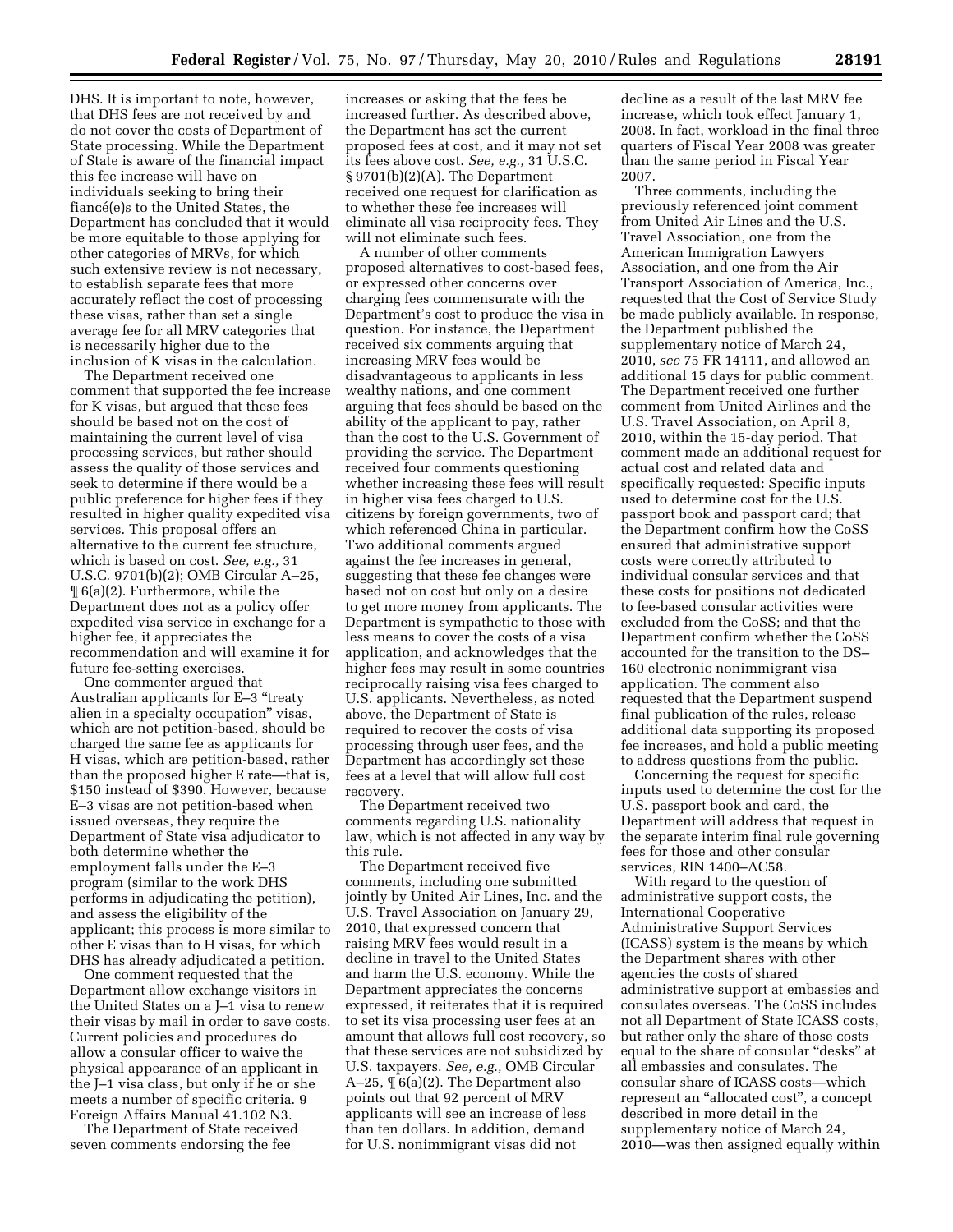DHS. It is important to note, however, that DHS fees are not received by and do not cover the costs of Department of State processing. While the Department of State is aware of the financial impact this fee increase will have on individuals seeking to bring their fiancé(e)s to the United States, the Department has concluded that it would be more equitable to those applying for other categories of MRVs, for which such extensive review is not necessary, to establish separate fees that more accurately reflect the cost of processing these visas, rather than set a single average fee for all MRV categories that is necessarily higher due to the inclusion of K visas in the calculation.

The Department received one comment that supported the fee increase for K visas, but argued that these fees should be based not on the cost of maintaining the current level of visa processing services, but rather should assess the quality of those services and seek to determine if there would be a public preference for higher fees if they resulted in higher quality expedited visa services. This proposal offers an alternative to the current fee structure, which is based on cost. *See, e.g.,* 31 U.S.C. 9701(b)(2); OMB Circular A–25, ¶ 6(a)(2). Furthermore, while the Department does not as a policy offer expedited visa service in exchange for a higher fee, it appreciates the recommendation and will examine it for future fee-setting exercises.

One commenter argued that Australian applicants for E-3 "treaty alien in a specialty occupation'' visas, which are not petition-based, should be charged the same fee as applicants for H visas, which are petition-based, rather than the proposed higher E rate—that is, \$150 instead of \$390. However, because E–3 visas are not petition-based when issued overseas, they require the Department of State visa adjudicator to both determine whether the employment falls under the E–3 program (similar to the work DHS performs in adjudicating the petition), and assess the eligibility of the applicant; this process is more similar to other E visas than to H visas, for which DHS has already adjudicated a petition.

One comment requested that the Department allow exchange visitors in the United States on a J–1 visa to renew their visas by mail in order to save costs. Current policies and procedures do allow a consular officer to waive the physical appearance of an applicant in the J–1 visa class, but only if he or she meets a number of specific criteria. 9 Foreign Affairs Manual 41.102 N3.

The Department of State received seven comments endorsing the fee

increases or asking that the fees be increased further. As described above, the Department has set the current proposed fees at cost, and it may not set its fees above cost. *See, e.g.,* 31 U.S.C. § 9701(b)(2)(A). The Department received one request for clarification as to whether these fee increases will eliminate all visa reciprocity fees. They will not eliminate such fees.

A number of other comments proposed alternatives to cost-based fees, or expressed other concerns over charging fees commensurate with the Department's cost to produce the visa in question. For instance, the Department received six comments arguing that increasing MRV fees would be disadvantageous to applicants in less wealthy nations, and one comment arguing that fees should be based on the ability of the applicant to pay, rather than the cost to the U.S. Government of providing the service. The Department received four comments questioning whether increasing these fees will result in higher visa fees charged to U.S. citizens by foreign governments, two of which referenced China in particular. Two additional comments argued against the fee increases in general, suggesting that these fee changes were based not on cost but only on a desire to get more money from applicants. The Department is sympathetic to those with less means to cover the costs of a visa application, and acknowledges that the higher fees may result in some countries reciprocally raising visa fees charged to U.S. applicants. Nevertheless, as noted above, the Department of State is required to recover the costs of visa processing through user fees, and the Department has accordingly set these fees at a level that will allow full cost recovery.

The Department received two comments regarding U.S. nationality law, which is not affected in any way by this rule.

The Department received five comments, including one submitted jointly by United Air Lines, Inc. and the U.S. Travel Association on January 29, 2010, that expressed concern that raising MRV fees would result in a decline in travel to the United States and harm the U.S. economy. While the Department appreciates the concerns expressed, it reiterates that it is required to set its visa processing user fees at an amount that allows full cost recovery, so that these services are not subsidized by U.S. taxpayers. *See, e.g.,* OMB Circular A–25, ¶ 6(a)(2). The Department also points out that 92 percent of MRV applicants will see an increase of less than ten dollars. In addition, demand for U.S. nonimmigrant visas did not

decline as a result of the last MRV fee increase, which took effect January 1, 2008. In fact, workload in the final three quarters of Fiscal Year 2008 was greater than the same period in Fiscal Year 2007.

Three comments, including the previously referenced joint comment from United Air Lines and the U.S. Travel Association, one from the American Immigration Lawyers Association, and one from the Air Transport Association of America, Inc., requested that the Cost of Service Study be made publicly available. In response, the Department published the supplementary notice of March 24, 2010, *see* 75 FR 14111, and allowed an additional 15 days for public comment. The Department received one further comment from United Airlines and the U.S. Travel Association, on April 8, 2010, within the 15-day period. That comment made an additional request for actual cost and related data and specifically requested: Specific inputs used to determine cost for the U.S. passport book and passport card; that the Department confirm how the CoSS ensured that administrative support costs were correctly attributed to individual consular services and that these costs for positions not dedicated to fee-based consular activities were excluded from the CoSS; and that the Department confirm whether the CoSS accounted for the transition to the DS– 160 electronic nonimmigrant visa application. The comment also requested that the Department suspend final publication of the rules, release additional data supporting its proposed fee increases, and hold a public meeting to address questions from the public.

Concerning the request for specific inputs used to determine the cost for the U.S. passport book and card, the Department will address that request in the separate interim final rule governing fees for those and other consular services, RIN 1400–AC58.

With regard to the question of administrative support costs, the International Cooperative Administrative Support Services (ICASS) system is the means by which the Department shares with other agencies the costs of shared administrative support at embassies and consulates overseas. The CoSS includes not all Department of State ICASS costs, but rather only the share of those costs equal to the share of consular ''desks'' at all embassies and consulates. The consular share of ICASS costs—which represent an ''allocated cost'', a concept described in more detail in the supplementary notice of March 24, 2010—was then assigned equally within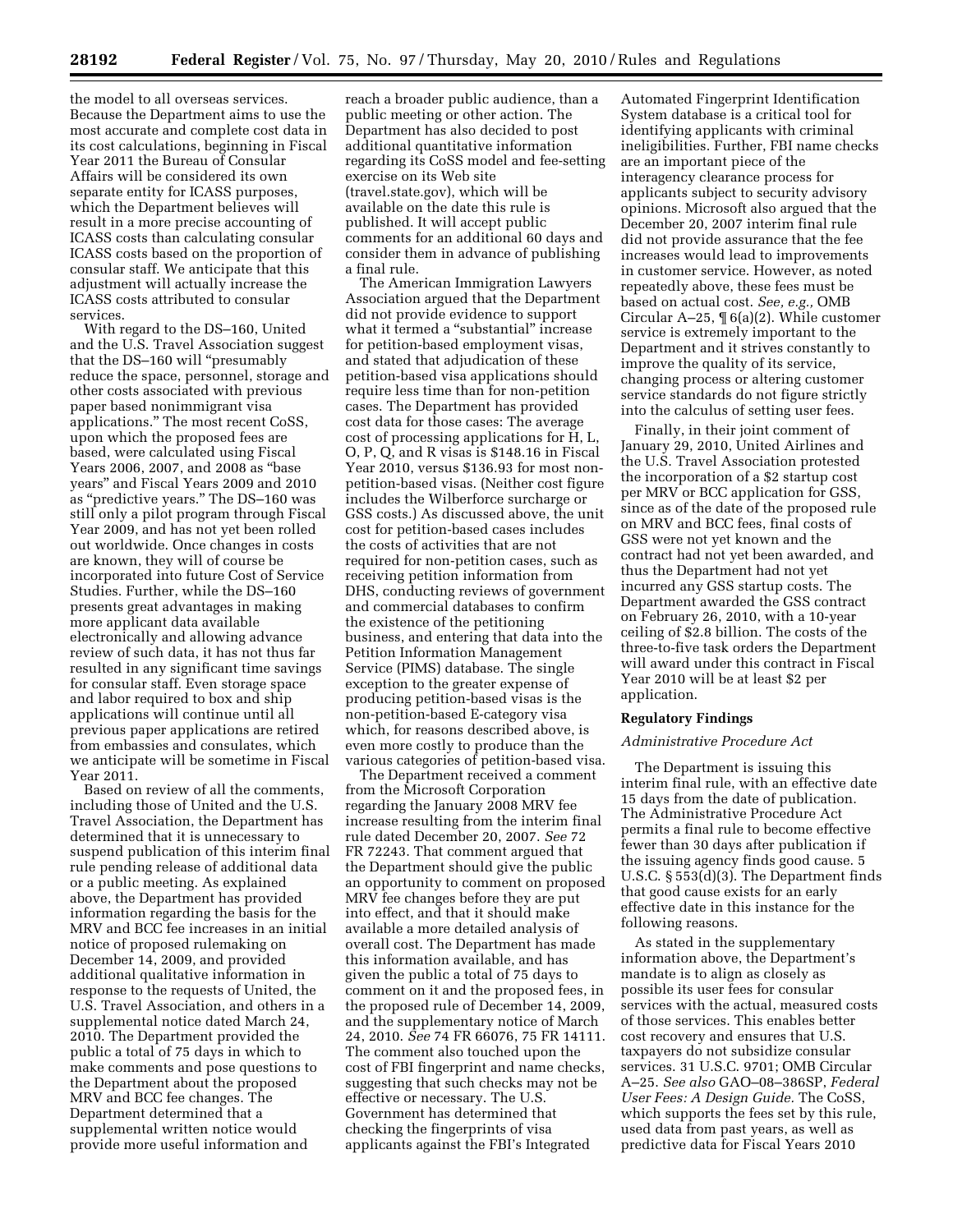the model to all overseas services. Because the Department aims to use the most accurate and complete cost data in its cost calculations, beginning in Fiscal Year 2011 the Bureau of Consular Affairs will be considered its own separate entity for ICASS purposes, which the Department believes will result in a more precise accounting of ICASS costs than calculating consular ICASS costs based on the proportion of consular staff. We anticipate that this adjustment will actually increase the ICASS costs attributed to consular services.

With regard to the DS–160, United and the U.S. Travel Association suggest that the DS-160 will "presumably reduce the space, personnel, storage and other costs associated with previous paper based nonimmigrant visa applications.'' The most recent CoSS, upon which the proposed fees are based, were calculated using Fiscal Years 2006, 2007, and 2008 as ''base years'' and Fiscal Years 2009 and 2010 as ''predictive years.'' The DS–160 was still only a pilot program through Fiscal Year 2009, and has not yet been rolled out worldwide. Once changes in costs are known, they will of course be incorporated into future Cost of Service Studies. Further, while the DS–160 presents great advantages in making more applicant data available electronically and allowing advance review of such data, it has not thus far resulted in any significant time savings for consular staff. Even storage space and labor required to box and ship applications will continue until all previous paper applications are retired from embassies and consulates, which we anticipate will be sometime in Fiscal Year 2011.

Based on review of all the comments, including those of United and the U.S. Travel Association, the Department has determined that it is unnecessary to suspend publication of this interim final rule pending release of additional data or a public meeting. As explained above, the Department has provided information regarding the basis for the MRV and BCC fee increases in an initial notice of proposed rulemaking on December 14, 2009, and provided additional qualitative information in response to the requests of United, the U.S. Travel Association, and others in a supplemental notice dated March 24, 2010. The Department provided the public a total of 75 days in which to make comments and pose questions to the Department about the proposed MRV and BCC fee changes. The Department determined that a supplemental written notice would provide more useful information and

reach a broader public audience, than a public meeting or other action. The Department has also decided to post additional quantitative information regarding its CoSS model and fee-setting exercise on its Web site (travel.state.gov), which will be available on the date this rule is published. It will accept public comments for an additional 60 days and consider them in advance of publishing a final rule.

The American Immigration Lawyers Association argued that the Department did not provide evidence to support what it termed a "substantial" increase for petition-based employment visas, and stated that adjudication of these petition-based visa applications should require less time than for non-petition cases. The Department has provided cost data for those cases: The average cost of processing applications for H, L, O, P, Q, and R visas is \$148.16 in Fiscal Year 2010, versus \$136.93 for most nonpetition-based visas. (Neither cost figure includes the Wilberforce surcharge or GSS costs.) As discussed above, the unit cost for petition-based cases includes the costs of activities that are not required for non-petition cases, such as receiving petition information from DHS, conducting reviews of government and commercial databases to confirm the existence of the petitioning business, and entering that data into the Petition Information Management Service (PIMS) database. The single exception to the greater expense of producing petition-based visas is the non-petition-based E-category visa which, for reasons described above, is even more costly to produce than the various categories of petition-based visa.

The Department received a comment from the Microsoft Corporation regarding the January 2008 MRV fee increase resulting from the interim final rule dated December 20, 2007. *See* 72 FR 72243. That comment argued that the Department should give the public an opportunity to comment on proposed MRV fee changes before they are put into effect, and that it should make available a more detailed analysis of overall cost. The Department has made this information available, and has given the public a total of 75 days to comment on it and the proposed fees, in the proposed rule of December 14, 2009, and the supplementary notice of March 24, 2010. *See* 74 FR 66076, 75 FR 14111. The comment also touched upon the cost of FBI fingerprint and name checks, suggesting that such checks may not be effective or necessary. The U.S. Government has determined that checking the fingerprints of visa applicants against the FBI's Integrated

Automated Fingerprint Identification System database is a critical tool for identifying applicants with criminal ineligibilities. Further, FBI name checks are an important piece of the interagency clearance process for applicants subject to security advisory opinions. Microsoft also argued that the December 20, 2007 interim final rule did not provide assurance that the fee increases would lead to improvements in customer service. However, as noted repeatedly above, these fees must be based on actual cost. *See, e.g.,* OMB Circular A–25, ¶ 6(a)(2). While customer service is extremely important to the Department and it strives constantly to improve the quality of its service, changing process or altering customer service standards do not figure strictly into the calculus of setting user fees.

Finally, in their joint comment of January 29, 2010, United Airlines and the U.S. Travel Association protested the incorporation of a \$2 startup cost per MRV or BCC application for GSS, since as of the date of the proposed rule on MRV and BCC fees, final costs of GSS were not yet known and the contract had not yet been awarded, and thus the Department had not yet incurred any GSS startup costs. The Department awarded the GSS contract on February 26, 2010, with a 10-year ceiling of \$2.8 billion. The costs of the three-to-five task orders the Department will award under this contract in Fiscal Year 2010 will be at least \$2 per application.

#### **Regulatory Findings**

#### *Administrative Procedure Act*

The Department is issuing this interim final rule, with an effective date 15 days from the date of publication. The Administrative Procedure Act permits a final rule to become effective fewer than 30 days after publication if the issuing agency finds good cause. 5 U.S.C. § 553(d)(3). The Department finds that good cause exists for an early effective date in this instance for the following reasons.

As stated in the supplementary information above, the Department's mandate is to align as closely as possible its user fees for consular services with the actual, measured costs of those services. This enables better cost recovery and ensures that U.S. taxpayers do not subsidize consular services. 31 U.S.C. 9701; OMB Circular A–25. *See also* GAO–08–386SP, *Federal User Fees: A Design Guide.* The CoSS, which supports the fees set by this rule, used data from past years, as well as predictive data for Fiscal Years 2010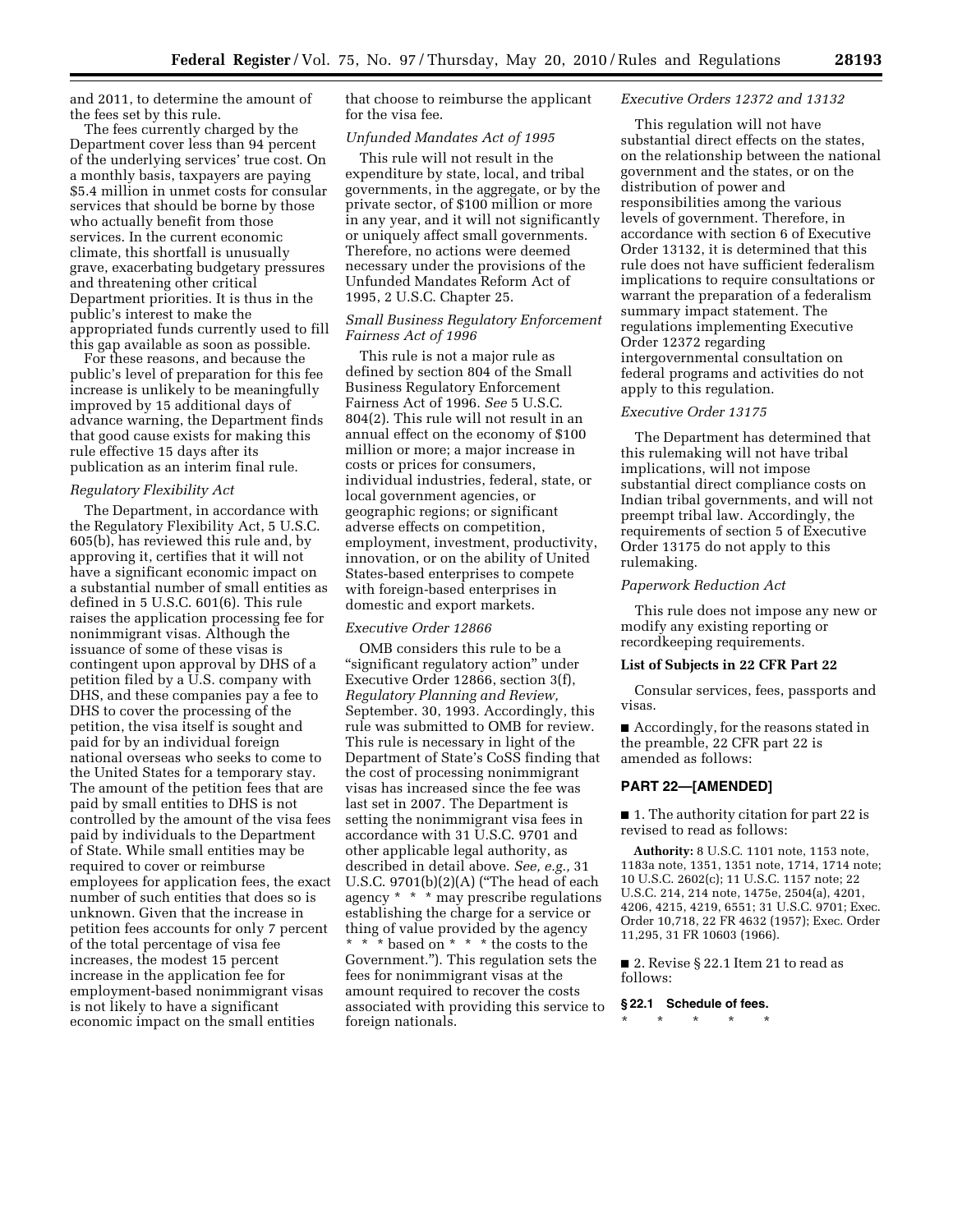and 2011, to determine the amount of the fees set by this rule.

The fees currently charged by the Department cover less than 94 percent of the underlying services' true cost. On a monthly basis, taxpayers are paying \$5.4 million in unmet costs for consular services that should be borne by those who actually benefit from those services. In the current economic climate, this shortfall is unusually grave, exacerbating budgetary pressures and threatening other critical Department priorities. It is thus in the public's interest to make the appropriated funds currently used to fill this gap available as soon as possible.

For these reasons, and because the public's level of preparation for this fee increase is unlikely to be meaningfully improved by 15 additional days of advance warning, the Department finds that good cause exists for making this rule effective 15 days after its publication as an interim final rule.

#### *Regulatory Flexibility Act*

The Department, in accordance with the Regulatory Flexibility Act, 5 U.S.C. 605(b), has reviewed this rule and, by approving it, certifies that it will not have a significant economic impact on a substantial number of small entities as defined in 5 U.S.C. 601(6). This rule raises the application processing fee for nonimmigrant visas. Although the issuance of some of these visas is contingent upon approval by DHS of a petition filed by a U.S. company with DHS, and these companies pay a fee to DHS to cover the processing of the petition, the visa itself is sought and paid for by an individual foreign national overseas who seeks to come to the United States for a temporary stay. The amount of the petition fees that are paid by small entities to DHS is not controlled by the amount of the visa fees paid by individuals to the Department of State. While small entities may be required to cover or reimburse employees for application fees, the exact number of such entities that does so is unknown. Given that the increase in petition fees accounts for only 7 percent of the total percentage of visa fee increases, the modest 15 percent increase in the application fee for employment-based nonimmigrant visas is not likely to have a significant economic impact on the small entities

that choose to reimburse the applicant for the visa fee.

### *Unfunded Mandates Act of 1995*

This rule will not result in the expenditure by state, local, and tribal governments, in the aggregate, or by the private sector, of \$100 million or more in any year, and it will not significantly or uniquely affect small governments. Therefore, no actions were deemed necessary under the provisions of the Unfunded Mandates Reform Act of 1995, 2 U.S.C. Chapter 25.

## *Small Business Regulatory Enforcement Fairness Act of 1996*

This rule is not a major rule as defined by section 804 of the Small Business Regulatory Enforcement Fairness Act of 1996. *See* 5 U.S.C. 804(2). This rule will not result in an annual effect on the economy of \$100 million or more; a major increase in costs or prices for consumers, individual industries, federal, state, or local government agencies, or geographic regions; or significant adverse effects on competition, employment, investment, productivity, innovation, or on the ability of United States-based enterprises to compete with foreign-based enterprises in domestic and export markets.

## *Executive Order 12866*

OMB considers this rule to be a "significant regulatory action" under Executive Order 12866, section 3(f), *Regulatory Planning and Review,*  September. 30, 1993. Accordingly, this rule was submitted to OMB for review. This rule is necessary in light of the Department of State's CoSS finding that the cost of processing nonimmigrant visas has increased since the fee was last set in 2007. The Department is setting the nonimmigrant visa fees in accordance with 31 U.S.C. 9701 and other applicable legal authority, as described in detail above. *See, e.g.,* 31 U.S.C. 9701(b)(2)(A) (''The head of each agency \* \* \* may prescribe regulations establishing the charge for a service or thing of value provided by the agency \* \* \* based on \* \* \* the costs to the Government.''). This regulation sets the fees for nonimmigrant visas at the amount required to recover the costs associated with providing this service to foreign nationals.

#### *Executive Orders 12372 and 13132*

This regulation will not have substantial direct effects on the states, on the relationship between the national government and the states, or on the distribution of power and responsibilities among the various levels of government. Therefore, in accordance with section 6 of Executive Order 13132, it is determined that this rule does not have sufficient federalism implications to require consultations or warrant the preparation of a federalism summary impact statement. The regulations implementing Executive Order 12372 regarding intergovernmental consultation on federal programs and activities do not apply to this regulation.

### *Executive Order 13175*

The Department has determined that this rulemaking will not have tribal implications, will not impose substantial direct compliance costs on Indian tribal governments, and will not preempt tribal law. Accordingly, the requirements of section 5 of Executive Order 13175 do not apply to this rulemaking.

#### *Paperwork Reduction Act*

This rule does not impose any new or modify any existing reporting or recordkeeping requirements.

#### **List of Subjects in 22 CFR Part 22**

Consular services, fees, passports and visas.

■ Accordingly, for the reasons stated in the preamble, 22 CFR part 22 is amended as follows:

## **PART 22—[AMENDED]**

■ 1. The authority citation for part 22 is revised to read as follows:

**Authority:** 8 U.S.C. 1101 note, 1153 note, 1183a note, 1351, 1351 note, 1714, 1714 note; 10 U.S.C. 2602(c); 11 U.S.C. 1157 note; 22 U.S.C. 214, 214 note, 1475e, 2504(a), 4201, 4206, 4215, 4219, 6551; 31 U.S.C. 9701; Exec. Order 10,718, 22 FR 4632 (1957); Exec. Order 11,295, 31 FR 10603 (1966).

■ 2. Revise § 22.1 Item 21 to read as follows:

## **§ 22.1 Schedule of fees.**

\* \* \* \* \*